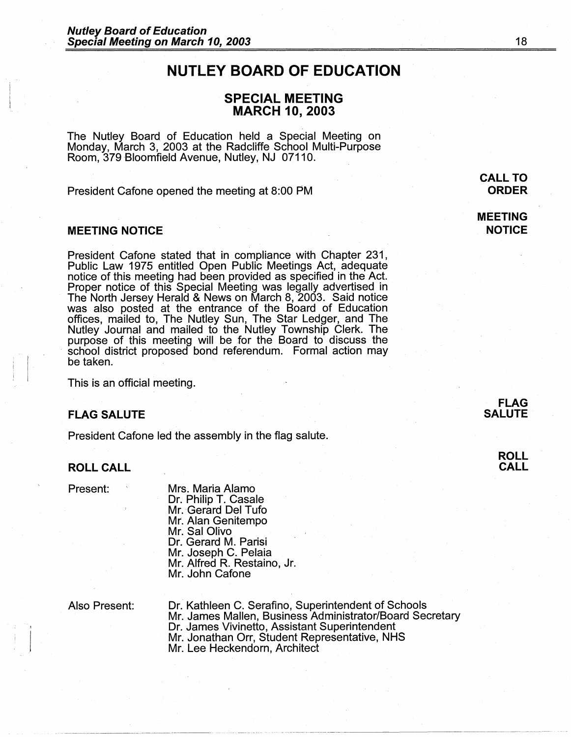# **NUTLEY BOARD OF EDUCATION**

# **SPECIAL MEETING MARCH 10, 2003**

The Nutley Board of Education held a Special Meeting on Monday, March 3, 2003 at the Radcliffe School Multi-Purpose Room, 379 Bloomfield Avenue, Nutley, NJ 07110.

President Catone opened the meeting at 8:00 PM

## **MEETING NOTICE**

President Catone stated that in compliance with Chapter 231, Public Law 1975 entitled Open Public Meetings Act, adequate notice of this meeting had been provided as specified in the Act. Proper notice of this Special Meeting was legally advertised in The North Jersey Herald & News on March 8, 2003. Said notice was also posted at the entrance of the Board of Education offices, mailed to, The Nutley Sun, The Star Ledger, and The Nutley Journal and mailed to the Nutley Township Clerk. The purpose of this meeting will be for the Board to discuss the · school district proposed bond referendum. Formal action may be taken.

This is an official meeting.

#### **FLAG SALUTE**

President Catone led the assembly in the flag salute.

#### **ROLL CALL**

Present:

Mrs. Maria Alamo Dr. Philip T. Casale Mr. Gerard Del Tufo Mr. Alan Genitempo Mr. Sal Olivo Dr. Gerard M. Parisi Mr. Joseph C. Pelaia Mr. Alfred R. Restaino, Jr. Mr. John Catone

Also Present:

Dr. Kathleen C. Serafino, Superintendent of Schools Mr. James Mallen, Business Administrator/Board Secretary Dr. James Vivinetto, Assistant Superintendent Mr. Jonathan Orr, Student Representative, NHS Mr. Lee Heckendorn, Architect

**MEETING NOTICE**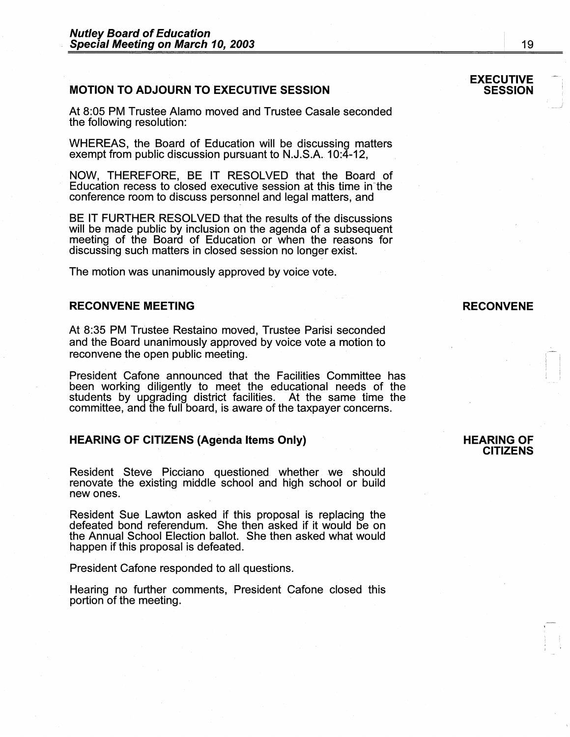## **MOTION TO ADJOURN TO EXECUTIVE SESSION**

At 8:05 PM Trustee Alamo moved and Trustee Casale seconded the following resolution:

WHEREAS, the Board of Education will be discussing matters exempt from public discussion pursuant to N.J.S.A.10:4-12,

**NOW,** THEREFORE, BE IT RESOLVED that the Board of Education recess to closed executive session at this time in-the conference room to discuss personnel and legal matters, and

BE IT FURTHER RESOLVED that the results of the discussions will be made public by inclusion on the agenda of a subsequent meeting of the Board of Education or when the reasons for discussing such matters in closed session no longer exist.

The motion was unanimously approved by voice vote.

#### **RECONVENE MEETING**

At 8:35 PM Trustee Restaino moved, Trustee Parisi seconded and the Board unanimously approved by voice vote a motion to reconvene the open public meeting.

President Catone announced that the Facilities Committee has been working diligently to meet the educational needs of the students by upgrading district facilities. At the same time the committee, and the full board, is aware of the taxpayer concerns.

## **HEARING OF CITIZENS (Agenda Items Only)**

Resident Steve Picciano questioned whether we should renovate the existing middle school and high school or build new ones.

Resident Sue Lawton asked if this proposal is replacing the defeated bond referendum. She then asked if it would be on the Annual School Election ballot. She then asked what would happen if this proposal is defeated.

President Catone responded to all questions.

Hearing no further comments, President Catone closed this portion of the meeting.

#### **EXECUTIVE SESSION**

## **RECONVENE**

#### **HEARING OF CITIZENS**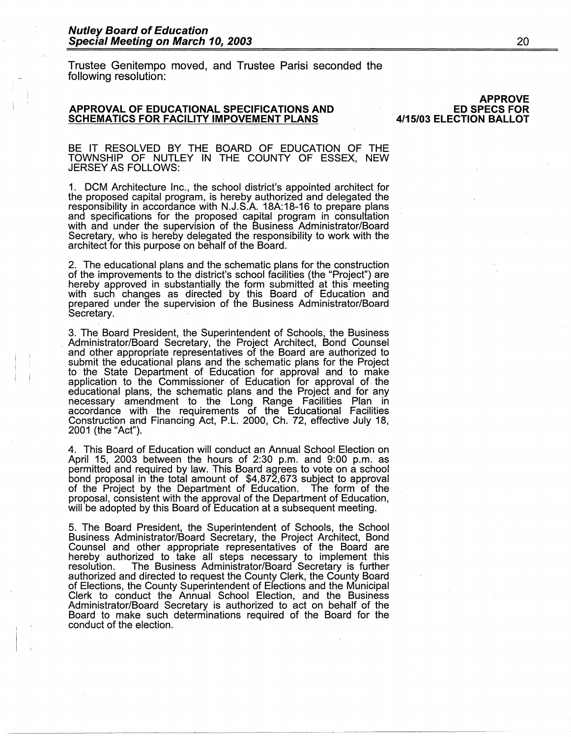#### **Nutley Board of Education Special Meeting on March 10, 2003**

Trustee Genitempo moved, and Trustee Parisi seconded the following resolution:

#### **APPROVAL OF EDUCATIONAL SPECIFICATIONS AND SCHEMATICS FOR FACILITY IMPOVEMENT PLANS**

**APPROVE ED SPECS FOR 4/15/03 ELECTION BALLOT** 

BE IT RESOLVED BY THE BOARD OF EDUCATION OF THE TOWNSHIP OF NUTLEY IN THE COUNTY OF ESSEX, NEW JERSEY AS FOLLOWS:

1. DCM Architecture Inc., the school district's appointed architect for the proposed capital program, is hereby authorized and delegated the responsibility in accordance with N.J.S.A. 18A:18-16 to prepare plans and specifications for the proposed capital program in consultation with and under the supervision of the Business Administrator/Board Secretary, who is hereby delegated the responsibility to work with the architect for this purpose on behalf of the Board.

2. The educational plans and the schematic plans for the construction of the improvements to the district's school facilities (the "Project") are hereby approved in substantially the form submitted at this meeting with such changes as directed by this Board of Education and prepared under the supervision of the Business Administrator/Board Secretary.

3. The Board President, the Superintendent of Schools, the Business . Administrator/Board Secretary, the Project Architect, Bond Counsel and other appropriate representatives of the Board are authorized to submit the educational plans and the schematic plans for the Project to the State Department of Education for approval and to make application to the Commissioner of Education for approval of. the educational plans, the schematic plans and the Project and for any necessary amendment to the Long Range Facilities Plan in accordance with the requirements of the Educational Facilities Construction and Financing Act, P.L. 2000, Ch. 72, effective July 18, 2001 (the "Act").

4. This Board of Education will conduct an Annual School Election on April 15, 2003 between the hours of 2:30 p.m. and 9:00 p.m. as permitted and required by law. This Board agrees to vote on a school bond proposal in the total amount of \$4,872,673 subject to approval of the Project by the Department of Education. The form of the proposal, consistent with the approval of the Department of Education, will be adopted by this Board of Education at a subsequent meeting.

5. The Board President, the Superintendent of Schools, the School Business Administrator/Board Secretary, the Project Architect, Bond Counsel and other appropriate representatives of the Board are hereby authorized to take all steps necessary to implement this resolution. The Business Administrator/Board Secretary is further authorized and directed to request the County Clerk, the County Board of Elections, the County Superintendent of Elections and the Municipal Clerk to conduct the Annual School Election, and the Business Administrator/Board Secretary is authorized to act on behalf of the Board to make such determinations required of the Board for the conduct of the election.